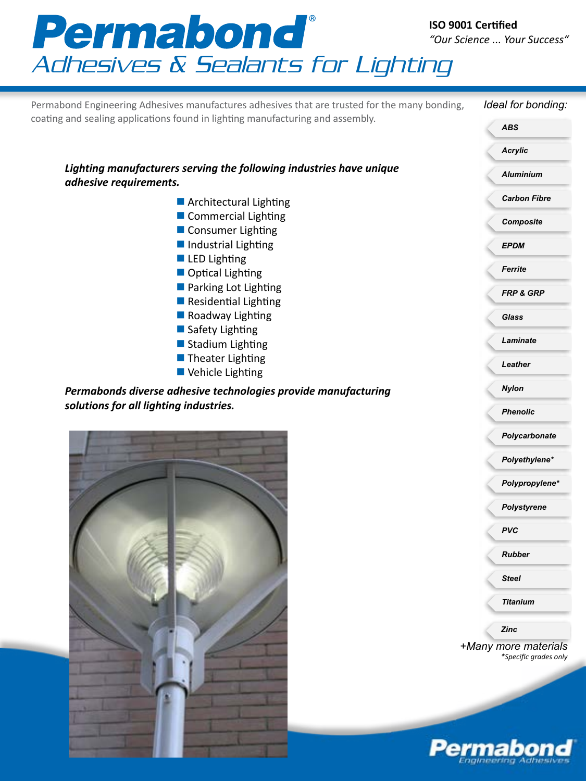



*PVC*

*Rubber*

*Steel*

*Titanium*

*Zinc*

*+Many more materials \*Specific grades only*